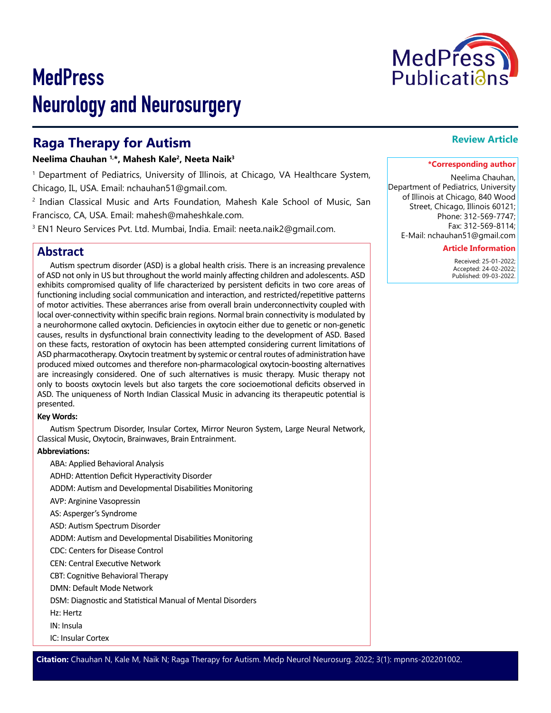

# **MedPress** Neurology and Neurosurgery

# **Raga Therapy for Autism**

### **Neelima Chauhan 1,\*, Mahesh Kale2, Neeta Naik3**

1 Department of Pediatrics, University of Illinois, at Chicago, VA Healthcare System, Chicago, IL, USA. Email: nchauhan51@gmail.com.

2 Indian Classical Music and Arts Foundation, Mahesh Kale School of Music, San Francisco, CA, USA. Email: mahesh@maheshkale.com.

3 EN1 Neuro Services Pvt. Ltd. Mumbai, India. Email: neeta.naik2@gmail.com.

# **Abstract**

Autism spectrum disorder (ASD) is a global health crisis. There is an increasing prevalence of ASD not only in US but throughout the world mainly affecting children and adolescents. ASD exhibits compromised quality of life characterized by persistent deficits in two core areas of functioning including social communication and interaction, and restricted/repetitive patterns of motor activities. These aberrances arise from overall brain underconnectivity coupled with local over-connectivity within specific brain regions. Normal brain connectivity is modulated by a neurohormone called oxytocin. Deficiencies in oxytocin either due to genetic or non-genetic causes, results in dysfunctional brain connectivity leading to the development of ASD. Based on these facts, restoration of oxytocin has been attempted considering current limitations of ASD pharmacotherapy. Oxytocin treatment by systemic or central routes of administration have produced mixed outcomes and therefore non-pharmacological oxytocin-boosting alternatives are increasingly considered. One of such alternatives is music therapy. Music therapy not only to boosts oxytocin levels but also targets the core socioemotional deficits observed in ASD. The uniqueness of North Indian Classical Music in advancing its therapeutic potential is presented.

#### **Key Words:**

Autism Spectrum Disorder, Insular Cortex, Mirror Neuron System, Large Neural Network, Classical Music, Oxytocin, Brainwaves, Brain Entrainment.

#### **Abbreviations:**

ABA: Applied Behavioral Analysis

ADHD: Attention Deficit Hyperactivity Disorder

ADDM: Autism and Developmental Disabilities Monitoring

AVP: Arginine Vasopressin

AS: Asperger's Syndrome

ASD: Autism Spectrum Disorder

ADDM: Autism and Developmental Disabilities Monitoring

CDC: Centers for Disease Control

CEN: Central Executive Network

CBT: Cognitive Behavioral Therapy

DMN: Default Mode Network

DSM: Diagnostic and Statistical Manual of Mental Disorders

Hz: Hertz

IN: Insula

IC: Insular Cortex

## **Review Article**

#### **\*Corresponding author**

Neelima Chauhan, Department of Pediatrics, University of Illinois at Chicago, 840 Wood Street, Chicago, Illinois 60121; Phone: 312-569-7747; Fax: 312-569-8114; E-Mail: nchauhan51@gmail.com

#### **Article Information**

 Received: 25-01-2022; Accepted: 24-02-2022; Published: 09-03-2022.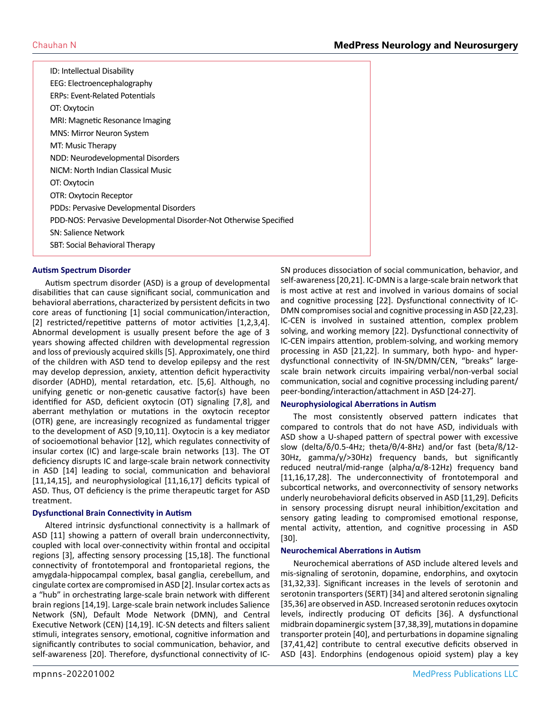| ID: Intellectual Disability                                       |
|-------------------------------------------------------------------|
| EEG: Electroencephalography                                       |
| <b>ERPs: Event-Related Potentials</b>                             |
| OT: Oxytocin                                                      |
| MRI: Magnetic Resonance Imaging                                   |
| MNS: Mirror Neuron System                                         |
| MT: Music Therapy                                                 |
| NDD: Neurodevelopmental Disorders                                 |
| NICM: North Indian Classical Music                                |
| OT: Oxytocin                                                      |
| OTR: Oxytocin Receptor                                            |
| PDDs: Pervasive Developmental Disorders                           |
| PDD-NOS: Pervasive Developmental Disorder-Not Otherwise Specified |
| <b>SN: Salience Network</b>                                       |
| SBT: Social Behavioral Therapy                                    |
|                                                                   |

#### **Autism Spectrum Disorder**

Autism spectrum disorder (ASD) is a group of developmental disabilities that can cause significant social, communication and behavioral aberrations, characterized by persistent deficits in two core areas of functioning [1] social communication/interaction, [2] restricted/repetitive patterns of motor activities [1,2,3,4]. Abnormal development is usually present before the age of 3 years showing affected children with developmental regression and loss of previously acquired skills [5]. Approximately, one third of the children with ASD tend to develop epilepsy and the rest may develop depression, anxiety, attention deficit hyperactivity disorder (ADHD), mental retardation, etc. [5,6]. Although, no unifying genetic or non-genetic causative factor(s) have been identified for ASD, deficient oxytocin (OT) signaling [7,8], and aberrant methylation or mutations in the oxytocin receptor (OTR) gene, are increasingly recognized as fundamental trigger to the development of ASD [9,10,11]. Oxytocin is a key mediator of socioemotional behavior [12], which regulates connectivity of insular cortex (IC) and large-scale brain networks [13]. The OT deficiency disrupts IC and large-scale brain network connectivity in ASD [14] leading to social, communication and behavioral [11,14,15], and neurophysiological [11,16,17] deficits typical of ASD. Thus, OT deficiency is the prime therapeutic target for ASD treatment.

#### **Dysfunctional Brain Connectivity in Autism**

Altered intrinsic dysfunctional connectivity is a hallmark of ASD [11] showing a pattern of overall brain underconnectivity, coupled with local over-connectivity within frontal and occipital regions [3], affecting sensory processing [15,18]. The functional connectivity of frontotemporal and frontoparietal regions, the amygdala-hippocampal complex, basal ganglia, cerebellum, and cingulate cortex are compromised in ASD [2]. Insular cortex acts as a "hub" in orchestrating large-scale brain network with different brain regions [14,19]. Large-scale brain network includes Salience Network (SN), Default Mode Network (DMN), and Central Executive Network (CEN) [14,19]. IC-SN detects and filters salient stimuli, integrates sensory, emotional, cognitive information and significantly contributes to social communication, behavior, and self-awareness [20]. Therefore, dysfunctional connectivity of IC-

SN produces dissociation of social communication, behavior, and self-awareness [20,21]. IC-DMN is a large-scale brain network that is most active at rest and involved in various domains of social and cognitive processing [22]. Dysfunctional connectivity of IC-DMN compromises social and cognitive processing in ASD [22,23]. IC-CEN is involved in sustained attention, complex problem solving, and working memory [22]. Dysfunctional connectivity of IC-CEN impairs attention, problem-solving, and working memory processing in ASD [21,22]. In summary, both hypo- and hyperdysfunctional connectivity of IN-SN/DMN/CEN, "breaks" largescale brain network circuits impairing verbal/non-verbal social communication, social and cognitive processing including parent/ peer-bonding/interaction/attachment in ASD [24-27].

#### **Neurophysiological Aberrations in Autism**

The most consistently observed pattern indicates that compared to controls that do not have ASD, individuals with ASD show a U-shaped pattern of spectral power with excessive slow (delta/δ/0.5-4Hz; theta/θ/4-8Hz) and/or fast (beta/ß/12- 30Hz, gamma/γ/>30Hz) frequency bands, but significantly reduced neutral/mid-range (alpha/α/8-12Hz) frequency band [11,16,17,28]. The underconnectivity of frontotemporal and subcortical networks, and overconnectivity of sensory networks underly neurobehavioral deficits observed in ASD [11,29]. Deficits in sensory processing disrupt neural inhibition/excitation and sensory gating leading to compromised emotional response, mental activity, attention, and cognitive processing in ASD [30].

#### **Neurochemical Aberrations in Autism**

Neurochemical aberrations of ASD include altered levels and mis-signaling of serotonin, dopamine, endorphins, and oxytocin [31,32,33]. Significant increases in the levels of serotonin and serotonin transporters (SERT) [34] and altered serotonin signaling [35,36] are observed in ASD. Increased serotonin reduces oxytocin levels, indirectly producing OT deficits [36]. A dysfunctional midbrain dopaminergic system [37,38,39], mutations in dopamine transporter protein [40], and perturbations in dopamine signaling [37,41,42] contribute to central executive deficits observed in ASD [43]. Endorphins (endogenous opioid system) play a key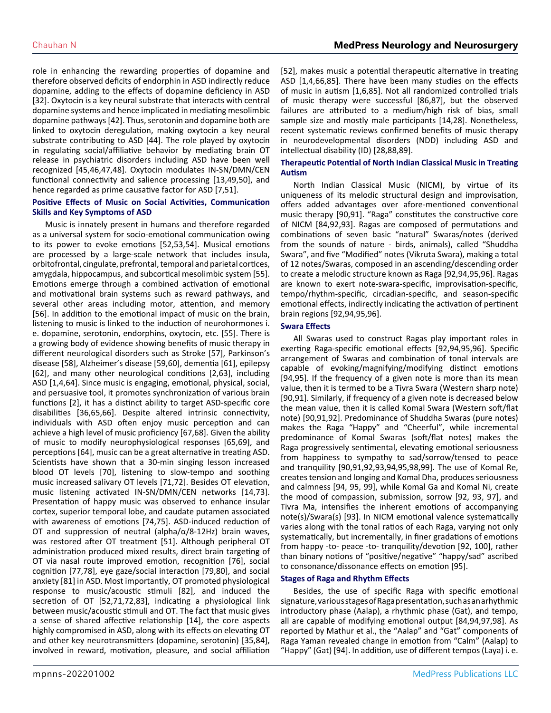role in enhancing the rewarding properties of dopamine and therefore observed deficits of endorphin in ASD indirectly reduce dopamine, adding to the effects of dopamine deficiency in ASD [32]. Oxytocin is a key neural substrate that interacts with central dopamine systems and hence implicated in mediating mesolimbic dopamine pathways [42]. Thus, serotonin and dopamine both are linked to oxytocin deregulation, making oxytocin a key neural substrate contributing to ASD [44]. The role played by oxytocin in regulating social/affiliative behavior by mediating brain OT release in psychiatric disorders including ASD have been well recognized [45,46,47,48]. Oxytocin modulates IN-SN/DMN/CEN functional connectivity and salience processing [13,49,50], and hence regarded as prime causative factor for ASD [7,51].

#### **Positive Effects of Music on Social Activities, Communication Skills and Key Symptoms of ASD**

Music is innately present in humans and therefore regarded as a universal system for socio-emotional communication owing to its power to evoke emotions [52,53,54]. Musical emotions are processed by a large-scale network that includes insula, orbitofrontal, cingulate, prefrontal, temporal and parietal cortices, amygdala, hippocampus, and subcortical mesolimbic system [55]. Emotions emerge through a combined activation of emotional and motivational brain systems such as reward pathways, and several other areas including motor, attention, and memory [56]. In addition to the emotional impact of music on the brain, listening to music is linked to the induction of neurohormones i. e. dopamine, serotonin, endorphins, oxytocin, etc. [55]. There is a growing body of evidence showing benefits of music therapy in different neurological disorders such as Stroke [57], Parkinson's disease [58], Alzheimer's disease [59,60], dementia [61], epilepsy [62], and many other neurological conditions [2,63], including ASD [1,4,64]. Since music is engaging, emotional, physical, social, and persuasive tool, it promotes synchronization of various brain functions [2], it has a distinct ability to target ASD-specific core disabilities [36,65,66]. Despite altered intrinsic connectivity, individuals with ASD often enjoy music perception and can achieve a high level of music proficiency [67,68]. Given the ability of music to modify neurophysiological responses [65,69], and perceptions [64], music can be a great alternative in treating ASD. Scientists have shown that a 30-min singing lesson increased blood OT levels [70], listening to slow-tempo and soothing music increased salivary OT levels [71,72]. Besides OT elevation, music listening activated IN-SN/DMN/CEN networks [14,73]. Presentation of happy music was observed to enhance insular cortex, superior temporal lobe, and caudate putamen associated with awareness of emotions [74,75]. ASD-induced reduction of OT and suppression of neutral (alpha/ $\alpha/8$ -12Hz) brain waves, was restored after OT treatment [51]. Although peripheral OT administration produced mixed results, direct brain targeting of OT via nasal route improved emotion, recognition [76], social cognition [77,78], eye gaze/social interaction [79,80], and social anxiety [81] in ASD. Most importantly, OT promoted physiological response to music/acoustic stimuli [82], and induced the secretion of OT [52,71,72,83], indicating a physiological link between music/acoustic stimuli and OT. The fact that music gives a sense of shared affective relationship [14], the core aspects highly compromised in ASD, along with its effects on elevating OT and other key neurotransmitters (dopamine, serotonin) [35,84], involved in reward, motivation, pleasure, and social affiliation

[52], makes music a potential therapeutic alternative in treating ASD [1,4,66,85]. There have been many studies on the effects of music in autism [1,6,85]. Not all randomized controlled trials of music therapy were successful [86,87], but the observed failures are attributed to a medium/high risk of bias, small sample size and mostly male participants [14,28]. Nonetheless, recent systematic reviews confirmed benefits of music therapy in neurodevelopmental disorders (NDD) including ASD and intellectual disability (ID) [28,88,89].

#### **Therapeutic Potential of North Indian Classical Music in Treating Autism**

North Indian Classical Music (NICM), by virtue of its uniqueness of its melodic structural design and improvisation, offers added advantages over afore-mentioned conventional music therapy [90,91]. "Raga" constitutes the constructive core of NICM [84,92,93]. Ragas are composed of permutations and combinations of seven basic "natural" Swaras/notes (derived from the sounds of nature - birds, animals), called "Shuddha Swara", and five "Modified" notes (Vikruta Swara), making a total of 12 notes/Swaras, composed in an ascending/descending order to create a melodic structure known as Raga [92,94,95,96]. Ragas are known to exert note-swara-specific, improvisation-specific, tempo/rhythm-specific, circadian-specific, and season-specific emotional effects, indirectly indicating the activation of pertinent brain regions [92,94,95,96].

#### **Swara Effects**

All Swaras used to construct Ragas play important roles in exerting Raga-specific emotional effects [92,94,95,96]. Specific arrangement of Swaras and combination of tonal intervals are capable of evoking/magnifying/modifying distinct emotions [94,95]. If the frequency of a given note is more than its mean value, then it is termed to be a Tivra Swara (Western sharp note) [90,91]. Similarly, if frequency of a given note is decreased below the mean value, then it is called Komal Swara (Western soft/flat note) [90,91,92]. Predominance of Shuddha Swaras (pure notes) makes the Raga "Happy" and "Cheerful", while incremental predominance of Komal Swaras (soft/flat notes) makes the Raga progressively sentimental, elevating emotional seriousness from happiness to sympathy to sad/sorrow/tensed to peace and tranquility [90,91,92,93,94,95,98,99]. The use of Komal Re, creates tension and longing and Komal Dha, produces seriousness and calmness [94, 95, 99], while Komal Ga and Komal Ni, create the mood of compassion, submission, sorrow [92, 93, 97], and Tivra Ma, intensifies the inherent emotions of accompanying note(s)/Swara(s) [93]. In NICM emotional valence systematically varies along with the tonal ratios of each Raga, varying not only systematically, but incrementally, in finer gradations of emotions from happy -to- peace -to- tranquility/devotion [92, 100], rather than binary notions of "positive/negative" "happy/sad" ascribed to consonance/dissonance effects on emotion [95].

#### **Stages of Raga and Rhythm Effects**

Besides, the use of specific Raga with specific emotional signature, various stages of Raga presentation, such as an arhythmic introductory phase (Aalap), a rhythmic phase (Gat), and tempo, all are capable of modifying emotional output [84,94,97,98]. As reported by Mathur et al., the "Aalap" and "Gat" components of Raga Yaman revealed change in emotion from "Calm" (Aalap) to "Happy" (Gat) [94]. In addition, use of different tempos (Laya) i. e.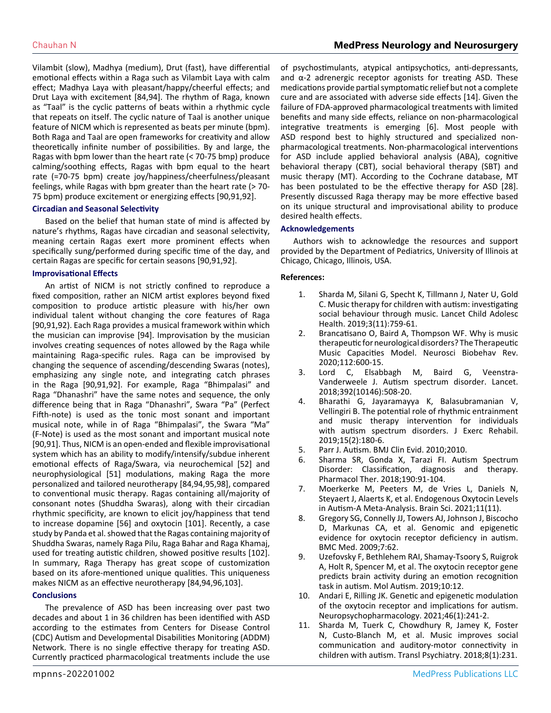Vilambit (slow), Madhya (medium), Drut (fast), have differential emotional effects within a Raga such as Vilambit Laya with calm effect; Madhya Laya with pleasant/happy/cheerful effects; and Drut Laya with excitement [84,94]. The rhythm of Raga, known as "Taal" is the cyclic patterns of beats within a rhythmic cycle that repeats on itself. The cyclic nature of Taal is another unique feature of NICM which is represented as beats per minute (bpm). Both Raga and Taal are open frameworks for creativity and allow theoretically infinite number of possibilities. By and large, the Ragas with bpm lower than the heart rate (< 70-75 bmp) produce calming/soothing effects, Ragas with bpm equal to the heart rate (=70-75 bpm) create joy/happiness/cheerfulness/pleasant feelings, while Ragas with bpm greater than the heart rate (> 70-75 bpm) produce excitement or energizing effects [90,91,92].

#### **Circadian and Seasonal Selectivity**

Based on the belief that human state of mind is affected by nature's rhythms, Ragas have circadian and seasonal selectivity, meaning certain Ragas exert more prominent effects when specifically sung/performed during specific time of the day, and certain Ragas are specific for certain seasons [90,91,92].

#### **Improvisational Effects**

An artist of NICM is not strictly confined to reproduce a fixed composition, rather an NICM artist explores beyond fixed composition to produce artistic pleasure with his/her own individual talent without changing the core features of Raga [90,91,92). Each Raga provides a musical framework within which the musician can improvise [94]. Improvisation by the musician involves creating sequences of notes allowed by the Raga while maintaining Raga-specific rules. Raga can be improvised by changing the sequence of ascending/descending Swaras (notes), emphasizing any single note, and integrating catch phrases in the Raga [90,91,92]. For example, Raga "Bhimpalasi" and Raga "Dhanashri" have the same notes and sequence, the only difference being that in Raga "Dhanashri", Swara "Pa" (Perfect Fifth-note) is used as the tonic most sonant and important musical note, while in of Raga "Bhimpalasi", the Swara "Ma" (F-Note) is used as the most sonant and important musical note [90,91]. Thus, NICM is an open-ended and flexible improvisational system which has an ability to modify/intensify/subdue inherent emotional effects of Raga/Swara, via neurochemical [52] and neurophysiological [51] modulations, making Raga the more personalized and tailored neurotherapy [84,94,95,98], compared to conventional music therapy. Ragas containing all/majority of consonant notes (Shuddha Swaras), along with their circadian rhythmic specificity, are known to elicit joy/happiness that tend to increase dopamine [56] and oxytocin [101]. Recently, a case study by Panda et al. showed that the Ragas containing majority of Shuddha Swaras, namely Raga Pilu, Raga Bahar and Raga Khamaj, used for treating autistic children, showed positive results [102]. In summary, Raga Therapy has great scope of customization based on its afore-mentioned unique qualities. This uniqueness makes NICM as an effective neurotherapy [84,94,96,103].

#### **Conclusions**

The prevalence of ASD has been increasing over past two decades and about 1 in 36 children has been identified with ASD according to the estimates from Centers for Disease Control (CDC) Autism and Developmental Disabilities Monitoring (ADDM) Network. There is no single effective therapy for treating ASD. Currently practiced pharmacological treatments include the use of psychostimulants, atypical antipsychotics, anti-depressants, and  $\alpha$ -2 adrenergic receptor agonists for treating ASD. These medications provide partial symptomatic relief but not a complete cure and are associated with adverse side effects [14]. Given the failure of FDA-approved pharmacological treatments with limited benefits and many side effects, reliance on non-pharmacological integrative treatments is emerging [6]. Most people with ASD respond best to highly structured and specialized nonpharmacological treatments. Non-pharmacological interventions for ASD include applied behavioral analysis (ABA), cognitive behavioral therapy (CBT), social behavioral therapy (SBT) and music therapy (MT). According to the Cochrane database, MT has been postulated to be the effective therapy for ASD [28]. Presently discussed Raga therapy may be more effective based on its unique structural and improvisational ability to produce desired health effects.

#### **Acknowledgements**

Authors wish to acknowledge the resources and support provided by the Department of Pediatrics, University of Illinois at Chicago, Chicago, Illinois, USA.

#### **References:**

- 1. [Sharda M, Silani G, Specht K, Tillmann J, Nater U, Gold](https://pubmed.ncbi.nlm.nih.gov/31494080/)  [C. Music therapy for children with autism: investigating](https://pubmed.ncbi.nlm.nih.gov/31494080/) [social behaviour through music. Lancet Child Adolesc](https://pubmed.ncbi.nlm.nih.gov/31494080/)  [Health. 2019;3\(11\):759-61.](https://pubmed.ncbi.nlm.nih.gov/31494080/)
- 2. [Brancatisano O, Baird A, Thompson WF. Why is music](https://pubmed.ncbi.nlm.nih.gov/32050086/)  [therapeutic for neurological disorders? The Therapeutic](https://pubmed.ncbi.nlm.nih.gov/32050086/)  [Music Capacities Model. Neurosci Biobehav Rev.](https://pubmed.ncbi.nlm.nih.gov/32050086/) [2020;112:600-15.](https://pubmed.ncbi.nlm.nih.gov/32050086/)
- 3. Lord C, Elsabbagh M, Baird G, Veenstra-Vanderweele J. Autism spectrum disorder. Lancet. 2018;392(10146):508-20.
- 4. [Bharathi G, Jayaramayya K, Balasubramanian V,](https://pubmed.ncbi.nlm.nih.gov/31110998/) [Vellingiri B. The potential role of rhythmic entrainment](https://pubmed.ncbi.nlm.nih.gov/31110998/)  [and music therapy intervention for individuals](https://pubmed.ncbi.nlm.nih.gov/31110998/)  [with autism spectrum disorders. J Exerc Rehabil.](https://pubmed.ncbi.nlm.nih.gov/31110998/)  [2019;15\(2\):180-6.](https://pubmed.ncbi.nlm.nih.gov/31110998/)
- 5. Parr J. Autism. BMJ Clin Evid. 2010;2010.
- 6. [Sharma SR, Gonda X, Tarazi FI. Autism Spectrum](https://pubmed.ncbi.nlm.nih.gov/29763648/)  [Disorder: Classification, diagnosis and therapy.](https://pubmed.ncbi.nlm.nih.gov/29763648/)  [Pharmacol Ther. 2018;190:91-104.](https://pubmed.ncbi.nlm.nih.gov/29763648/)
- 7. [Moerkerke M, Peeters M, de Vries L, Daniels N,](https://pubmed.ncbi.nlm.nih.gov/34827545/) [Steyaert J, Alaerts K, et al. Endogenous Oxytocin Levels](https://pubmed.ncbi.nlm.nih.gov/34827545/) [in Autism-A Meta-Analysis. Brain Sci. 2021;11\(11\).](https://pubmed.ncbi.nlm.nih.gov/34827545/)
- 8. [Gregory SG, Connelly JJ, Towers AJ, Johnson J, Biscocho](https://pubmed.ncbi.nlm.nih.gov/19845972/)  [D, Markunas CA, et al. Genomic and epigenetic](https://pubmed.ncbi.nlm.nih.gov/19845972/) [evidence for oxytocin receptor deficiency in autism.](https://pubmed.ncbi.nlm.nih.gov/19845972/)  [BMC Med. 2009;7:62.](https://pubmed.ncbi.nlm.nih.gov/19845972/)
- 9. [Uzefovsky F, Bethlehem RAI, Shamay-Tsoory S, Ruigrok](https://molecularautism.biomedcentral.com/articles/10.1186/s13229-019-0258-4)  [A, Holt R, Spencer M, et al. The oxytocin receptor gene](https://molecularautism.biomedcentral.com/articles/10.1186/s13229-019-0258-4) [predicts brain activity during an emotion recognition](https://molecularautism.biomedcentral.com/articles/10.1186/s13229-019-0258-4)  [task in autism. Mol Autism. 2019;10:12.](https://molecularautism.biomedcentral.com/articles/10.1186/s13229-019-0258-4)
- 10. [Andari E, Rilling JK. Genetic and epigenetic modulation](https://pubmed.ncbi.nlm.nih.gov/32884100/)  [of the oxytocin receptor and implications for autism.](https://pubmed.ncbi.nlm.nih.gov/32884100/)  [Neuropsychopharmacology. 2021;46\(1\):241-2.](https://pubmed.ncbi.nlm.nih.gov/32884100/)
- 11. [Sharda M, Tuerk C, Chowdhury R, Jamey K, Foster](https://pubmed.ncbi.nlm.nih.gov/30352997/)  [N, Custo-Blanch M, et al. Music improves social](https://pubmed.ncbi.nlm.nih.gov/30352997/)  [communication and auditory-motor connectivity in](https://pubmed.ncbi.nlm.nih.gov/30352997/)  [children with autism. Transl Psychiatry. 2018;8\(1\):231.](https://pubmed.ncbi.nlm.nih.gov/30352997/)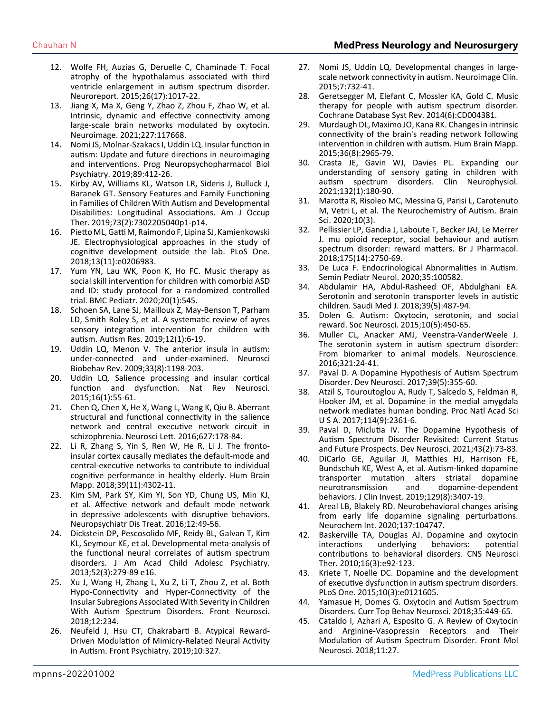- 12. [Wolfe FH, Auzias G, Deruelle C, Chaminade T. Focal](https://pubmed.ncbi.nlm.nih.gov/26445284/)  [atrophy of the hypothalamus associated with third](https://pubmed.ncbi.nlm.nih.gov/26445284/)  [ventricle enlargement in autism spectrum disorder.](https://pubmed.ncbi.nlm.nih.gov/26445284/)  [Neuroreport. 2015;26\(17\):1017-22.](https://pubmed.ncbi.nlm.nih.gov/26445284/)
- 13. [Jiang X, Ma X, Geng Y, Zhao Z, Zhou F, Zhao W, et al.](https://pubmed.ncbi.nlm.nih.gov/33359350/)  [Intrinsic, dynamic and effective connectivity among](https://pubmed.ncbi.nlm.nih.gov/33359350/)  [large-scale brain networks modulated by oxytocin.](https://pubmed.ncbi.nlm.nih.gov/33359350/)  [Neuroimage. 2021;227:117668.](https://pubmed.ncbi.nlm.nih.gov/33359350/)
- 14. [Nomi JS, Molnar-Szakacs I, Uddin LQ. Insular function in](https://pubmed.ncbi.nlm.nih.gov/30381235/)  [autism: Update and future directions in neuroimaging](https://pubmed.ncbi.nlm.nih.gov/30381235/)  [and interventions. Prog Neuropsychopharmacol Biol](https://pubmed.ncbi.nlm.nih.gov/30381235/)  [Psychiatry. 2019;89:412-26.](https://pubmed.ncbi.nlm.nih.gov/30381235/)
- 15. [Kirby AV, Williams KL, Watson LR, Sideris J, Bulluck J,](https://pubmed.ncbi.nlm.nih.gov/30915965/) [Baranek GT. Sensory Features and Family Functioning](https://pubmed.ncbi.nlm.nih.gov/30915965/)  [in Families of Children With Autism and Developmental](https://pubmed.ncbi.nlm.nih.gov/30915965/)  [Disabilities: Longitudinal Associations. Am J Occup](https://pubmed.ncbi.nlm.nih.gov/30915965/)  [Ther. 2019;73\(2\):7302205040p1-p14.](https://pubmed.ncbi.nlm.nih.gov/30915965/)
- 16. [Pietto ML, Gatti M, Raimondo F, Lipina SJ, Kamienkowski](https://pubmed.ncbi.nlm.nih.gov/30475814/) [JE. Electrophysiological approaches in the study of](https://pubmed.ncbi.nlm.nih.gov/30475814/)  [cognitive development outside the lab. PLoS One.](https://pubmed.ncbi.nlm.nih.gov/30475814/)  [2018;13\(11\):e0206983.](https://pubmed.ncbi.nlm.nih.gov/30475814/)
- 17. [Yum YN, Lau WK, Poon K, Ho FC. Music therapy as](https://pubmed.ncbi.nlm.nih.gov/33276744/) [social skill intervention for children with comorbid ASD](https://pubmed.ncbi.nlm.nih.gov/33276744/)  [and ID: study protocol for a randomized controlled](https://pubmed.ncbi.nlm.nih.gov/33276744/)  [trial. BMC Pediatr. 2020;20\(1\):545.](https://pubmed.ncbi.nlm.nih.gov/33276744/)
- 18. [Schoen SA, Lane SJ, Mailloux Z, May-Benson T, Parham](https://pubmed.ncbi.nlm.nih.gov/30548827/) [LD, Smith Roley S, et al. A systematic review of ayres](https://pubmed.ncbi.nlm.nih.gov/30548827/) [sensory integration intervention for children with](https://pubmed.ncbi.nlm.nih.gov/30548827/) [autism. Autism Res. 2019;12\(1\):6-19.](https://pubmed.ncbi.nlm.nih.gov/30548827/)
- 19. [Uddin LQ, Menon V. The anterior insula in autism:](https://pubmed.ncbi.nlm.nih.gov/19538989/) [under-connected and under-examined. Neurosci](https://pubmed.ncbi.nlm.nih.gov/19538989/)  [Biobehav Rev. 2009;33\(8\):1198-203.](https://pubmed.ncbi.nlm.nih.gov/19538989/)
- 20. [Uddin LQ. Salience processing and insular cortical](https://pubmed.ncbi.nlm.nih.gov/25406711/)  [function and dysfunction. Nat Rev Neurosci.](https://pubmed.ncbi.nlm.nih.gov/25406711/)  [2015;16\(1\):55-61.](https://pubmed.ncbi.nlm.nih.gov/25406711/)
- 21. [Chen Q, Chen X, He X, Wang L, Wang K, Qiu B. Aberrant](https://pubmed.ncbi.nlm.nih.gov/27233217/) [structural and functional connectivity in the salience](https://pubmed.ncbi.nlm.nih.gov/27233217/)  [network and central executive network circuit in](https://pubmed.ncbi.nlm.nih.gov/27233217/)  [schizophrenia. Neurosci Lett. 2016;627:178-84.](https://pubmed.ncbi.nlm.nih.gov/27233217/)
- 22. [Li R, Zhang S, Yin S, Ren W, He R, Li J. The fronto](https://pubmed.ncbi.nlm.nih.gov/29974584/)[insular cortex causally mediates the default-mode and](https://pubmed.ncbi.nlm.nih.gov/29974584/)  [central-executive networks to contribute to individual](https://pubmed.ncbi.nlm.nih.gov/29974584/)  [cognitive performance in healthy elderly. Hum Brain](https://pubmed.ncbi.nlm.nih.gov/29974584/) [Mapp. 2018;39\(11\):4302-11.](https://pubmed.ncbi.nlm.nih.gov/29974584/)
- 23. [Kim SM, Park SY, Kim YI, Son YD, Chung US, Min KJ,](https://pubmed.ncbi.nlm.nih.gov/26770059/) [et al. Affective network and default mode network](https://pubmed.ncbi.nlm.nih.gov/26770059/) [in depressive adolescents with disruptive behaviors.](https://pubmed.ncbi.nlm.nih.gov/26770059/)  [Neuropsychiatr Dis Treat. 2016;12:49-56.](https://pubmed.ncbi.nlm.nih.gov/26770059/)
- 24. [Dickstein DP, Pescosolido MF, Reidy BL, Galvan T, Kim](https://pubmed.ncbi.nlm.nih.gov/23452684/) [KL, Seymour KE, et al. Developmental meta-analysis of](https://pubmed.ncbi.nlm.nih.gov/23452684/)  [the functional neural correlates of autism spectrum](https://pubmed.ncbi.nlm.nih.gov/23452684/) [disorders. J Am Acad Child Adolesc Psychiatry.](https://pubmed.ncbi.nlm.nih.gov/23452684/) [2013;52\(3\):279-89 e16.](https://pubmed.ncbi.nlm.nih.gov/23452684/)
- 25. [Xu J, Wang H, Zhang L, Xu Z, Li T, Zhou Z, et al. Both](https://www.ncbi.nlm.nih.gov/labs/pmc/articles/PMC5904282/)  [Hypo-Connectivity and Hyper-Connectivity of the](https://www.ncbi.nlm.nih.gov/labs/pmc/articles/PMC5904282/) [Insular Subregions Associated With Severity in Children](https://www.ncbi.nlm.nih.gov/labs/pmc/articles/PMC5904282/)  [With Autism Spectrum Disorders. Front Neurosci.](https://www.ncbi.nlm.nih.gov/labs/pmc/articles/PMC5904282/)  [2018;12:234.](https://www.ncbi.nlm.nih.gov/labs/pmc/articles/PMC5904282/)
- 26. [Neufeld J, Hsu CT, Chakrabarti B. Atypical Reward-](https://www.frontiersin.org/articles/10.3389/fpsyt.2019.00327/full)[Driven Modulation of Mimicry-Related Neural Activity](https://www.frontiersin.org/articles/10.3389/fpsyt.2019.00327/full) [in Autism. Front Psychiatry. 2019;10:327.](https://www.frontiersin.org/articles/10.3389/fpsyt.2019.00327/full)
- 27. [Nomi JS, Uddin LQ. Developmental changes in large](https://pubmed.ncbi.nlm.nih.gov/25844325/)[scale network connectivity in autism. Neuroimage Clin.](https://pubmed.ncbi.nlm.nih.gov/25844325/)  [2015;7:732-41.](https://pubmed.ncbi.nlm.nih.gov/25844325/)
- 28. [Geretsegger M, Elefant C, Mossler KA, Gold C. Music](https://pubmed.ncbi.nlm.nih.gov/24936966/)  [therapy for people with autism spectrum disorder.](https://pubmed.ncbi.nlm.nih.gov/24936966/)  [Cochrane Database Syst Rev. 2014\(6\):CD004381.](https://pubmed.ncbi.nlm.nih.gov/24936966/)
- 29. [Murdaugh DL, Maximo JO, Kana RK. Changes in intrinsic](https://pubmed.ncbi.nlm.nih.gov/26058572/)  [connectivity of the brain's reading network following](https://pubmed.ncbi.nlm.nih.gov/26058572/)  [intervention in children with autism. Hum Brain Mapp.](https://pubmed.ncbi.nlm.nih.gov/26058572/)  [2015;36\(8\):2965-79.](https://pubmed.ncbi.nlm.nih.gov/26058572/)
- 30. [Crasta JE, Gavin WJ, Davies PL. Expanding our](https://pubmed.ncbi.nlm.nih.gov/33310588/)  [understanding of sensory gating in children with](https://pubmed.ncbi.nlm.nih.gov/33310588/)  [autism spectrum disorders. Clin Neurophysiol.](https://pubmed.ncbi.nlm.nih.gov/33310588/)  [2021;132\(1\):180-90.](https://pubmed.ncbi.nlm.nih.gov/33310588/)
- 31. [Marotta R, Risoleo MC, Messina G, Parisi L, Carotenuto](https://pubmed.ncbi.nlm.nih.gov/32182969/)  [M, Vetri L, et al. The Neurochemistry of Autism. Brain](https://pubmed.ncbi.nlm.nih.gov/32182969/)  [Sci. 2020;10\(3\).](https://pubmed.ncbi.nlm.nih.gov/32182969/)
- 32. [Pellissier LP, Gandia J, Laboute T, Becker JAJ, Le Merrer](https://pubmed.ncbi.nlm.nih.gov/28369738/) [J. mu opioid receptor, social behaviour and autism](https://pubmed.ncbi.nlm.nih.gov/28369738/)  [spectrum disorder: reward matters. Br J Pharmacol.](https://pubmed.ncbi.nlm.nih.gov/28369738/)  [2018;175\(14\):2750-69.](https://pubmed.ncbi.nlm.nih.gov/28369738/)
- 33. [De Luca F. Endocrinological Abnormalities in Autism.](https://pubmed.ncbi.nlm.nih.gov/32892953/)  [Semin Pediatr Neurol. 2020;35:100582.](https://pubmed.ncbi.nlm.nih.gov/32892953/)
- 34. [Abdulamir HA, Abdul-Rasheed OF, Abdulghani EA.](https://pubmed.ncbi.nlm.nih.gov/29738009/)  [Serotonin and serotonin transporter levels in autistic](https://pubmed.ncbi.nlm.nih.gov/29738009/)  [children. Saudi Med J. 2018;39\(5\):487-94.](https://pubmed.ncbi.nlm.nih.gov/29738009/)
- 35. [Dolen G. Autism: Oxytocin, serotonin, and social](https://pubmed.ncbi.nlm.nih.gov/26317636/)  [reward. Soc Neurosci. 2015;10\(5\):450-65.](https://pubmed.ncbi.nlm.nih.gov/26317636/)
- 36. [Muller CL, Anacker AMJ, Veenstra-VanderWeele J.](https://pubmed.ncbi.nlm.nih.gov/26577932/) [The serotonin system in autism spectrum disorder:](https://pubmed.ncbi.nlm.nih.gov/26577932/) [From biomarker to animal models. Neuroscience.](https://pubmed.ncbi.nlm.nih.gov/26577932/) [2016;321:24-41.](https://pubmed.ncbi.nlm.nih.gov/26577932/)
- 37. [Paval D. A Dopamine Hypothesis of Autism Spectrum](https://pubmed.ncbi.nlm.nih.gov/28750400/)  [Disorder. Dev Neurosci. 2017;39\(5\):355-60.](https://pubmed.ncbi.nlm.nih.gov/28750400/)
- 38. [Atzil S, Touroutoglou A, Rudy T, Salcedo S, Feldman R,](https://pubmed.ncbi.nlm.nih.gov/28193868/) [Hooker JM, et al. Dopamine in the medial amygdala](https://pubmed.ncbi.nlm.nih.gov/28193868/) [network mediates human bonding. Proc Natl Acad Sci](https://pubmed.ncbi.nlm.nih.gov/28193868/)  [U S A. 2017;114\(9\):2361-6.](https://pubmed.ncbi.nlm.nih.gov/28193868/)
- 39. [Paval D, Miclutia IV. The Dopamine Hypothesis of](https://pubmed.ncbi.nlm.nih.gov/34010842/)  [Autism Spectrum Disorder Revisited: Current Status](https://pubmed.ncbi.nlm.nih.gov/34010842/)  [and Future Prospects. Dev Neurosci. 2021;43\(2\):73-83.](https://pubmed.ncbi.nlm.nih.gov/34010842/)
- 40. [DiCarlo GE, Aguilar JI, Matthies HJ, Harrison FE,](https://pubmed.ncbi.nlm.nih.gov/31094705/) [Bundschuh KE, West A, et al. Autism-linked dopamine](https://pubmed.ncbi.nlm.nih.gov/31094705/)  [transporter mutation alters striatal dopamine](https://pubmed.ncbi.nlm.nih.gov/31094705/)  [neurotransmission and dopamine-dependent](https://pubmed.ncbi.nlm.nih.gov/31094705/)  [behaviors. J Clin Invest. 2019;129\(8\):3407-19.](https://pubmed.ncbi.nlm.nih.gov/31094705/)
- 41. [Areal LB, Blakely RD. Neurobehavioral changes arising](https://pubmed.ncbi.nlm.nih.gov/32325191/)  [from early life dopamine signaling perturbations.](https://pubmed.ncbi.nlm.nih.gov/32325191/)  [Neurochem Int. 2020;137:104747.](https://pubmed.ncbi.nlm.nih.gov/32325191/)
- 42. [Baskerville TA, Douglas AJ. Dopamine and oxytocin](https://pubmed.ncbi.nlm.nih.gov/20557568/)  [interactions underlying behaviors: potential](https://pubmed.ncbi.nlm.nih.gov/20557568/)  [contributions to behavioral disorders. CNS Neurosci](https://pubmed.ncbi.nlm.nih.gov/20557568/) [Ther. 2010;16\(3\):e92-123.](https://pubmed.ncbi.nlm.nih.gov/20557568/)
- 43. [Kriete T, Noelle DC. Dopamine and the development](https://pubmed.ncbi.nlm.nih.gov/25811610/)  [of executive dysfunction in autism spectrum disorders.](https://pubmed.ncbi.nlm.nih.gov/25811610/)  [PLoS One. 2015;10\(3\):e0121605.](https://pubmed.ncbi.nlm.nih.gov/25811610/)
- 44. [Yamasue H, Domes G. Oxytocin and Autism Spectrum](https://pubmed.ncbi.nlm.nih.gov/28766270/) [Disorders. Curr Top Behav Neurosci. 2018;35:449-65.](https://pubmed.ncbi.nlm.nih.gov/28766270/)
- 45. [Cataldo I, Azhari A, Esposito G. A Review of Oxytocin](https://www.ncbi.nlm.nih.gov/labs/pmc/articles/PMC5816822/)  [and Arginine-Vasopressin Receptors and Their](https://www.ncbi.nlm.nih.gov/labs/pmc/articles/PMC5816822/)  [Modulation of Autism Spectrum Disorder. Front Mol](https://www.ncbi.nlm.nih.gov/labs/pmc/articles/PMC5816822/)  [Neurosci. 2018;11:27.](https://www.ncbi.nlm.nih.gov/labs/pmc/articles/PMC5816822/)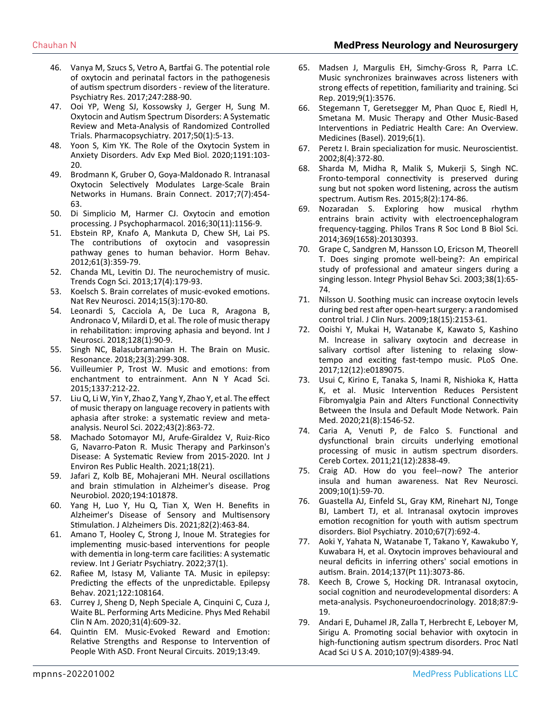- 46. [Vanya M, Szucs S, Vetro A, Bartfai G. The potential role](https://pubmed.ncbi.nlm.nih.gov/27974283/) [of oxytocin and perinatal factors in the pathogenesis](https://pubmed.ncbi.nlm.nih.gov/27974283/)  [of autism spectrum disorders - review of the literature.](https://pubmed.ncbi.nlm.nih.gov/27974283/) [Psychiatry Res. 2017;247:288-90.](https://pubmed.ncbi.nlm.nih.gov/27974283/)
- 47. [Ooi YP, Weng SJ, Kossowsky J, Gerger H, Sung M.](https://pubmed.ncbi.nlm.nih.gov/27574858/)  [Oxytocin and Autism Spectrum Disorders: A Systematic](https://pubmed.ncbi.nlm.nih.gov/27574858/) [Review and Meta-Analysis of Randomized Controlled](https://pubmed.ncbi.nlm.nih.gov/27574858/)  [Trials. Pharmacopsychiatry. 2017;50\(1\):5-13.](https://pubmed.ncbi.nlm.nih.gov/27574858/)
- 48. [Yoon S, Kim YK. The Role of the Oxytocin System in](https://pubmed.ncbi.nlm.nih.gov/32002925/)  [Anxiety Disorders. Adv Exp Med Biol. 2020;1191:103-](https://pubmed.ncbi.nlm.nih.gov/32002925/) [20.](https://pubmed.ncbi.nlm.nih.gov/32002925/)
- 49. [Brodmann K, Gruber O, Goya-Maldonado R. Intranasal](https://pubmed.ncbi.nlm.nih.gov/28762756/)  [Oxytocin Selectively Modulates Large-Scale Brain](https://pubmed.ncbi.nlm.nih.gov/28762756/)  [Networks in Humans. Brain Connect. 2017;7\(7\):454-](https://pubmed.ncbi.nlm.nih.gov/28762756/) [63.](https://pubmed.ncbi.nlm.nih.gov/28762756/)
- 50. [Di Simplicio M, Harmer CJ. Oxytocin and emotion](https://pubmed.ncbi.nlm.nih.gov/27071915/)  [processing. J Psychopharmacol. 2016;30\(11\):1156-9.](https://pubmed.ncbi.nlm.nih.gov/27071915/)
- 51. [Ebstein RP, Knafo A, Mankuta D, Chew SH, Lai PS.](https://pubmed.ncbi.nlm.nih.gov/22245314/)  [The contributions of oxytocin and vasopressin](https://pubmed.ncbi.nlm.nih.gov/22245314/)  [pathway genes to human behavior. Horm Behav.](https://pubmed.ncbi.nlm.nih.gov/22245314/) [2012;61\(3\):359-79.](https://pubmed.ncbi.nlm.nih.gov/22245314/)
- 52. [Chanda ML, Levitin DJ. The neurochemistry of music.](https://pubmed.ncbi.nlm.nih.gov/23541122/)  [Trends Cogn Sci. 2013;17\(4\):179-93.](https://pubmed.ncbi.nlm.nih.gov/23541122/)
- 53. [Koelsch S. Brain correlates of music-evoked emotions.](https://pubmed.ncbi.nlm.nih.gov/24552785/)  [Nat Rev Neurosci. 2014;15\(3\):170-80.](https://pubmed.ncbi.nlm.nih.gov/24552785/)
- 54. [Leonardi S, Cacciola A, De Luca R, Aragona B,](https://pubmed.ncbi.nlm.nih.gov/28689476/) [Andronaco V, Milardi D, et al. The role of music therapy](https://pubmed.ncbi.nlm.nih.gov/28689476/) [in rehabilitation: improving aphasia and beyond. Int J](https://pubmed.ncbi.nlm.nih.gov/28689476/) [Neurosci. 2018;128\(1\):90-9.](https://pubmed.ncbi.nlm.nih.gov/28689476/)
- 55. [Singh NC, Balasubramanian H. The Brain on Music.](https://link.springer.com/article/10.1007/s12045-018-0619-x)  [Resonance. 2018;23\(3\):299-308.](https://link.springer.com/article/10.1007/s12045-018-0619-x)
- 56. [Vuilleumier P, Trost W. Music and emotions: from](https://pubmed.ncbi.nlm.nih.gov/25773637/) [enchantment to entrainment. Ann N Y Acad Sci.](https://pubmed.ncbi.nlm.nih.gov/25773637/)  [2015;1337:212-22.](https://pubmed.ncbi.nlm.nih.gov/25773637/)
- 57. [Liu Q, Li W, Yin Y, Zhao Z, Yang Y, Zhao Y, et al. The effect](https://pubmed.ncbi.nlm.nih.gov/34816318/) [of music therapy on language recovery in patients with](https://pubmed.ncbi.nlm.nih.gov/34816318/)  [aphasia after stroke: a systematic review and meta](https://pubmed.ncbi.nlm.nih.gov/34816318/)[analysis. Neurol Sci. 2022;43\(2\):863-72.](https://pubmed.ncbi.nlm.nih.gov/34816318/)
- 58. [Machado Sotomayor MJ, Arufe-Giraldez V, Ruiz-Rico](https://www.ncbi.nlm.nih.gov/labs/pmc/articles/PMC8582661/)  [G, Navarro-Paton R. Music Therapy and Parkinson's](https://www.ncbi.nlm.nih.gov/labs/pmc/articles/PMC8582661/) [Disease: A Systematic Review from 2015-2020. Int J](https://www.ncbi.nlm.nih.gov/labs/pmc/articles/PMC8582661/) [Environ Res Public Health. 2021;18\(21\).](https://www.ncbi.nlm.nih.gov/labs/pmc/articles/PMC8582661/)
- 59. [Jafari Z, Kolb BE, Mohajerani MH. Neural oscillations](https://pubmed.ncbi.nlm.nih.gov/32615147/)  [and brain stimulation in Alzheimer's disease. Prog](https://pubmed.ncbi.nlm.nih.gov/32615147/) [Neurobiol. 2020;194:101878.](https://pubmed.ncbi.nlm.nih.gov/32615147/)
- 60. [Yang H, Luo Y, Hu Q, Tian X, Wen H. Benefits in](https://pubmed.ncbi.nlm.nih.gov/34057081/)  [Alzheimer's Disease of Sensory and Multisensory](https://pubmed.ncbi.nlm.nih.gov/34057081/)  [Stimulation. J Alzheimers Dis. 2021;82\(2\):463-84.](https://pubmed.ncbi.nlm.nih.gov/34057081/)
- 61. [Amano T, Hooley C, Strong J, Inoue M. Strategies for](https://pubmed.ncbi.nlm.nih.gov/34647348/)  [implementing music-based interventions for people](https://pubmed.ncbi.nlm.nih.gov/34647348/)  [with dementia in long-term care facilities: A systematic](https://pubmed.ncbi.nlm.nih.gov/34647348/) [review. Int J Geriatr Psychiatry. 2022;37\(1\).](https://pubmed.ncbi.nlm.nih.gov/34647348/)
- 62. [Rafiee M, Istasy M, Valiante TA. Music in epilepsy:](https://pubmed.ncbi.nlm.nih.gov/34256336/)  [Predicting the effects of the unpredictable. Epilepsy](https://pubmed.ncbi.nlm.nih.gov/34256336/)  [Behav. 2021;122:108164.](https://pubmed.ncbi.nlm.nih.gov/34256336/)
- 63. Currey J, Sheng D, Neph Speciale A, Cinquini C, Cuza J, Waite BL. Performing Arts Medicine. Phys Med Rehabil Clin N Am. 2020;31(4):609-32.
- 64. [Quintin EM. Music-Evoked Reward and Emotion:](https://www.ncbi.nlm.nih.gov/labs/pmc/articles/PMC6759939/)  [Relative Strengths and Response to Intervention of](https://www.ncbi.nlm.nih.gov/labs/pmc/articles/PMC6759939/)  [People With ASD. Front Neural Circuits. 2019;13:49.](https://www.ncbi.nlm.nih.gov/labs/pmc/articles/PMC6759939/)
- 65. [Madsen J, Margulis EH, Simchy-Gross R, Parra LC.](https://www.nature.com/articles/s41598-019-40254-w)  [Music synchronizes brainwaves across listeners with](https://www.nature.com/articles/s41598-019-40254-w)  [strong effects of repetition, familiarity and training. Sci](https://www.nature.com/articles/s41598-019-40254-w)  [Rep. 2019;9\(1\):3576.](https://www.nature.com/articles/s41598-019-40254-w)
- 66. [Stegemann T, Geretsegger M, Phan Quoc E, Riedl H,](https://www.ncbi.nlm.nih.gov/labs/pmc/articles/PMC6473587/) [Smetana M. Music Therapy and Other Music-Based](https://www.ncbi.nlm.nih.gov/labs/pmc/articles/PMC6473587/)  [Interventions in Pediatric Health Care: An Overview.](https://www.ncbi.nlm.nih.gov/labs/pmc/articles/PMC6473587/) [Medicines \(Basel\). 2019;6\(1\).](https://www.ncbi.nlm.nih.gov/labs/pmc/articles/PMC6473587/)
- 67. [Peretz I. Brain specialization for music. Neuroscientist.](https://pubmed.ncbi.nlm.nih.gov/12194505/)  [2002;8\(4\):372-80.](https://pubmed.ncbi.nlm.nih.gov/12194505/)
- 68. [Sharda M, Midha R, Malik S, Mukerji S, Singh NC.](https://pubmed.ncbi.nlm.nih.gov/25377165/) [Fronto-temporal connectivity is preserved during](https://pubmed.ncbi.nlm.nih.gov/25377165/)  [sung but not spoken word listening, across the autism](https://pubmed.ncbi.nlm.nih.gov/25377165/)  [spectrum. Autism Res. 2015;8\(2\):174-86.](https://pubmed.ncbi.nlm.nih.gov/25377165/)
- 69. [Nozaradan S. Exploring how musical rhythm](https://www.ncbi.nlm.nih.gov/labs/pmc/articles/PMC4240960/) [entrains brain activity with electroencephalogram](https://www.ncbi.nlm.nih.gov/labs/pmc/articles/PMC4240960/) [frequency-tagging. Philos Trans R Soc Lond B Biol Sci.](https://www.ncbi.nlm.nih.gov/labs/pmc/articles/PMC4240960/)  [2014;369\(1658\):20130393.](https://www.ncbi.nlm.nih.gov/labs/pmc/articles/PMC4240960/)
- 70. [Grape C, Sandgren M, Hansson LO, Ericson M, Theorell](https://pubmed.ncbi.nlm.nih.gov/12814197/)  [T. Does singing promote well-being?: An empirical](https://pubmed.ncbi.nlm.nih.gov/12814197/)  [study of professional and amateur singers during a](https://pubmed.ncbi.nlm.nih.gov/12814197/) [singing lesson. Integr Physiol Behav Sci. 2003;38\(1\):65-](https://pubmed.ncbi.nlm.nih.gov/12814197/) [74.](https://pubmed.ncbi.nlm.nih.gov/12814197/)
- 71. [Nilsson U. Soothing music can increase oxytocin levels](https://pubmed.ncbi.nlm.nih.gov/19583647/) [during bed rest after open-heart surgery: a randomised](https://pubmed.ncbi.nlm.nih.gov/19583647/)  [control trial. J Clin Nurs. 2009;18\(15\):2153-61.](https://pubmed.ncbi.nlm.nih.gov/19583647/)
- 72. [Ooishi Y, Mukai H, Watanabe K, Kawato S, Kashino](https://pubmed.ncbi.nlm.nih.gov/29211795/)  [M. Increase in salivary oxytocin and decrease in](https://pubmed.ncbi.nlm.nih.gov/29211795/)  [salivary cortisol after listening to relaxing slow](https://pubmed.ncbi.nlm.nih.gov/29211795/)[tempo and exciting fast-tempo music. PLoS One.](https://pubmed.ncbi.nlm.nih.gov/29211795/)  [2017;12\(12\):e0189075.](https://pubmed.ncbi.nlm.nih.gov/29211795/)
- 73. [Usui C, Kirino E, Tanaka S, Inami R, Nishioka K, Hatta](https://pubmed.ncbi.nlm.nih.gov/32330259/)  [K, et al. Music Intervention Reduces Persistent](https://pubmed.ncbi.nlm.nih.gov/32330259/) [Fibromyalgia Pain and Alters Functional Connectivity](https://pubmed.ncbi.nlm.nih.gov/32330259/) [Between the Insula and Default Mode Network. Pain](https://pubmed.ncbi.nlm.nih.gov/32330259/)  [Med. 2020;21\(8\):1546-52.](https://pubmed.ncbi.nlm.nih.gov/32330259/)
- 74. [Caria A, Venuti P, de Falco S. Functional and](https://pubmed.ncbi.nlm.nih.gov/21527791/)  [dysfunctional brain circuits underlying emotional](https://pubmed.ncbi.nlm.nih.gov/21527791/)  [processing of music in autism spectrum disorders.](https://pubmed.ncbi.nlm.nih.gov/21527791/)  [Cereb Cortex. 2011;21\(12\):2838-49.](https://pubmed.ncbi.nlm.nih.gov/21527791/)
- 75. [Craig AD. How do you feel--now? The anterior](https://pubmed.ncbi.nlm.nih.gov/19096369/) [insula and human awareness. Nat Rev Neurosci.](https://pubmed.ncbi.nlm.nih.gov/19096369/)  [2009;10\(1\):59-70.](https://pubmed.ncbi.nlm.nih.gov/19096369/)
- 76. [Guastella AJ, Einfeld SL, Gray KM, Rinehart NJ, Tonge](https://pubmed.ncbi.nlm.nih.gov/19897177/)  [BJ, Lambert TJ, et al. Intranasal oxytocin improves](https://pubmed.ncbi.nlm.nih.gov/19897177/)  [emotion recognition for youth with autism spectrum](https://pubmed.ncbi.nlm.nih.gov/19897177/) [disorders. Biol Psychiatry. 2010;67\(7\):692-4.](https://pubmed.ncbi.nlm.nih.gov/19897177/)
- 77. [Aoki Y, Yahata N, Watanabe T, Takano Y, Kawakubo Y,](https://pubmed.ncbi.nlm.nih.gov/25149412/) [Kuwabara H, et al. Oxytocin improves behavioural and](https://pubmed.ncbi.nlm.nih.gov/25149412/)  [neural deficits in inferring others' social emotions in](https://pubmed.ncbi.nlm.nih.gov/25149412/)  [autism. Brain. 2014;137\(Pt 11\):3073-86.](https://pubmed.ncbi.nlm.nih.gov/25149412/)
- 78. [Keech B, Crowe S, Hocking DR. Intranasal oxytocin,](https://pubmed.ncbi.nlm.nih.gov/29032324/)  [social cognition and neurodevelopmental disorders: A](https://pubmed.ncbi.nlm.nih.gov/29032324/) [meta-analysis. Psychoneuroendocrinology. 2018;87:9-](https://pubmed.ncbi.nlm.nih.gov/29032324/) [19.](https://pubmed.ncbi.nlm.nih.gov/29032324/)
- 79. [Andari E, Duhamel JR, Zalla T, Herbrecht E, Leboyer M,](https://pubmed.ncbi.nlm.nih.gov/20160081/) [Sirigu A. Promoting social behavior with oxytocin in](https://pubmed.ncbi.nlm.nih.gov/20160081/)  [high-functioning autism spectrum disorders. Proc Natl](https://pubmed.ncbi.nlm.nih.gov/20160081/) [Acad Sci U S A. 2010;107\(9\):4389-94.](https://pubmed.ncbi.nlm.nih.gov/20160081/)